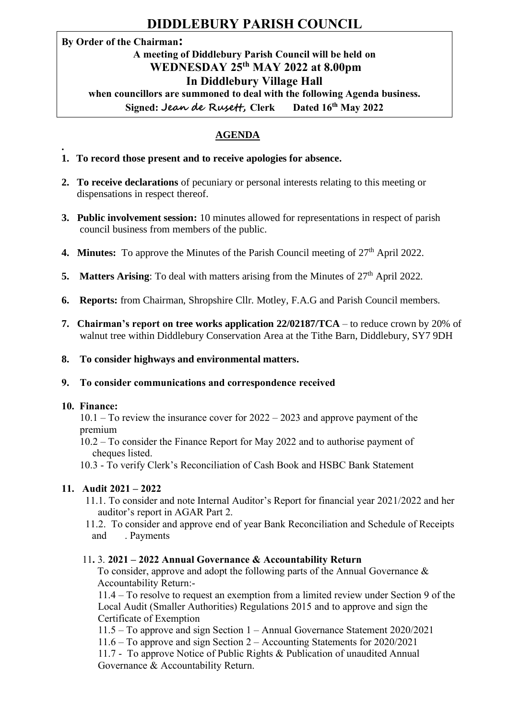# **DIDDLEBURY PARISH COUNCIL**

# **By Order of the Chairman:**

#### **A meeting of Diddlebury Parish Council will be held on WEDNESDAY 25th MAY 2022 at 8.00pm In Diddlebury Village Hall when councillors are summoned to deal with the following Agenda business. Signed: Jean de Rusett, Clerk Dated 16<sup>th</sup> May 2022**

# **AGENDA**

- **1. To record those present and to receive apologies for absence.**
- **2. To receive declarations** of pecuniary or personal interests relating to this meeting or dispensations in respect thereof.
- **3. Public involvement session:** 10 minutes allowed for representations in respect of parish council business from members of the public.
- **4. Minutes:** To approve the Minutes of the Parish Council meeting of 27<sup>th</sup> April 2022.
- **5.** Matters Arising: To deal with matters arising from the Minutes of  $27<sup>th</sup>$  April 2022.
- **6. Reports:** from Chairman, Shropshire Cllr. Motley, F.A.G and Parish Council members.
- **7. Chairman's report on tree works application 22/02187/TCA** to reduce crown by 20% of walnut tree within Diddlebury Conservation Area at the Tithe Barn, Diddlebury, SY7 9DH
- **8. To consider highways and environmental matters.**
- **9. To consider communications and correspondence received**

#### **10. Finance:**

**.**

10.1 – To review the insurance cover for 2022 – 2023 and approve payment of the premium

10.2 – To consider the Finance Report for May 2022 and to authorise payment of cheques listed.

10.3 - To verify Clerk's Reconciliation of Cash Book and HSBC Bank Statement

# **11. Audit 2021 – 2022**

- 11.1. To consider and note Internal Auditor's Report for financial year 2021/2022 and her auditor's report in AGAR Part 2.
- 11.2. To consider and approve end of year Bank Reconciliation and Schedule of Receipts and . Payments

# 11**.** 3. **2021 – 2022 Annual Governance & Accountability Return**

To consider, approve and adopt the following parts of the Annual Governance  $\&$ Accountability Return:-

11.4 – To resolve to request an exemption from a limited review under Section 9 of the Local Audit (Smaller Authorities) Regulations 2015 and to approve and sign the Certificate of Exemption

- 11.5 To approve and sign Section 1 Annual Governance Statement 2020/2021
- 11.6 To approve and sign Section 2 Accounting Statements for 2020/2021

11.7 - To approve Notice of Public Rights & Publication of unaudited Annual Governance & Accountability Return.